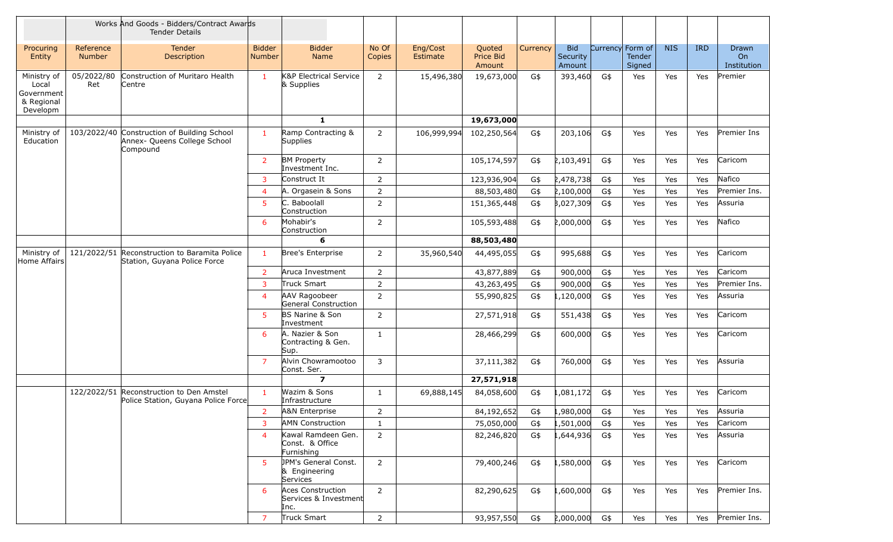|                                                              |                            | Works And Goods - Bidders/Contract Awards<br><b>Tender Details</b>                      |                                |                                                           |                 |                      |                               |          |                                  |     |                                      |            |            |                            |
|--------------------------------------------------------------|----------------------------|-----------------------------------------------------------------------------------------|--------------------------------|-----------------------------------------------------------|-----------------|----------------------|-------------------------------|----------|----------------------------------|-----|--------------------------------------|------------|------------|----------------------------|
| Procuring<br>Entity                                          | Reference<br><b>Number</b> | <b>Tender</b><br><b>Description</b>                                                     | <b>Bidder</b><br><b>Number</b> | <b>Bidder</b><br>Name                                     | No Of<br>Copies | Eng/Cost<br>Estimate | Quoted<br>Price Bid<br>Amount | Currency | <b>Bid</b><br>Security<br>Amount |     | Currency Form of<br>Tender<br>Signed | <b>NIS</b> | <b>IRD</b> | Drawn<br>On<br>Institution |
| Ministry of<br>Local<br>Government<br>& Regional<br>Developm | 05/2022/80<br>Ret          | Construction of Muritaro Health<br>'Centre                                              | 1                              | K&P Electrical Service<br>& Supplies                      | $\overline{2}$  | 15,496,380           | 19,673,000                    | G\$      | 393,460                          | G\$ | Yes                                  | Yes        | Yes        | Premier                    |
|                                                              |                            |                                                                                         |                                | $\mathbf{1}$                                              |                 |                      | 19,673,000                    |          |                                  |     |                                      |            |            |                            |
| Ministry of<br>Education                                     |                            | 103/2022/40 Construction of Building School<br>Annex- Queens College School<br>Compound | 1                              | Ramp Contracting &<br><b>Supplies</b>                     | $\overline{2}$  | 106,999,994          | 102,250,564                   | G\$      | 203,106                          | G\$ | Yes                                  | Yes        | Yes        | Premier Ins                |
|                                                              |                            |                                                                                         | $\overline{2}$                 | <b>BM Property</b><br>Investment Inc.                     | $\overline{2}$  |                      | 105,174,597                   | G\$      | 2,103,491                        | G\$ | Yes                                  | Yes        | Yes        | Caricom                    |
|                                                              |                            |                                                                                         | $\overline{3}$                 | Construct It                                              | $\overline{2}$  |                      | 123,936,904                   | G\$      | 2,478,738                        | G\$ | Yes                                  | Yes        | Yes        | Nafico                     |
|                                                              |                            |                                                                                         | $\overline{4}$                 | A. Orgasein & Sons                                        | $\overline{2}$  |                      | 88,503,480                    | G\$      | 2,100,000                        | G\$ | Yes                                  | Yes        | Yes        | Premier Ins.               |
|                                                              |                            |                                                                                         | 5                              | C. Baboolall<br>Construction                              | $\overline{2}$  |                      | 151,365,448                   | G\$      | 3,027,309                        | G\$ | Yes                                  | Yes        | Yes        | Assuria                    |
|                                                              |                            |                                                                                         | 6                              | Mohabir's<br>Construction                                 | $\overline{2}$  |                      | 105,593,488                   | G\$      | 2,000,000                        | G\$ | Yes                                  | Yes        | Yes        | Nafico                     |
|                                                              |                            |                                                                                         |                                | 6                                                         |                 |                      | 88,503,480                    |          |                                  |     |                                      |            |            |                            |
| Ministry of<br>Home Affairs                                  | 121/2022/51                | Reconstruction to Baramita Police<br>Station, Guyana Police Force                       | 1                              | Bree's Enterprise                                         | $\overline{2}$  | 35,960,540           | 44,495,055                    | G\$      | 995,688                          | G\$ | Yes                                  | Yes        | Yes        | Caricom                    |
|                                                              |                            |                                                                                         | 2                              | Aruca Investment                                          | $\overline{2}$  |                      | 43,877,889                    | G\$      | 900,000                          | G\$ | Yes                                  | Yes        | Yes        | Caricom                    |
|                                                              |                            |                                                                                         | 3                              | <b>Truck Smart</b>                                        | $\overline{2}$  |                      | 43,263,495                    | G\$      | 900,000                          | G\$ | Yes                                  | Yes        | Yes        | Premier Ins.               |
|                                                              |                            |                                                                                         | $\overline{4}$                 | AAV Ragoobeer<br>General Construction                     | $\overline{2}$  |                      | 55,990,825                    | G\$      | ,120,000                         | G\$ | Yes                                  | Yes        | Yes        | Assuria                    |
|                                                              |                            |                                                                                         | -5                             | <b>BS Narine &amp; Son</b><br>Investment                  | $\overline{2}$  |                      | 27,571,918                    | G\$      | 551,438                          | G\$ | Yes                                  | Yes        | Yes        | Caricom                    |
|                                                              |                            |                                                                                         | 6                              | A. Nazier & Son<br>Contracting & Gen.<br>Sup.             | $\mathbf{1}$    |                      | 28,466,299                    | G\$      | 600,000                          | G\$ | Yes                                  | Yes        | Yes        | Caricom                    |
|                                                              |                            |                                                                                         | $\overline{7}$                 | Alvin Chowramootoo<br>Const. Ser.                         | 3               |                      | 37,111,382                    | G\$      | 760,000                          | G\$ | Yes                                  | Yes        | Yes        | Assuria                    |
|                                                              |                            |                                                                                         |                                | $\overline{\mathbf{z}}$                                   |                 |                      | 27,571,918                    |          |                                  |     |                                      |            |            |                            |
|                                                              |                            | 122/2022/51 Reconstruction to Den Amstel<br>Police Station, Guyana Police Force         | $\mathbf{1}$                   | Wazim & Sons<br>Infrastructure                            | $\mathbf{1}$    | 69,888,145           | 84,058,600                    | G\$      | ,081,172                         | G\$ | Yes                                  | Yes        | Yes        | Caricom                    |
|                                                              |                            |                                                                                         | $\overline{2}$                 | A&N Enterprise                                            | 2               |                      | 84,192,652                    | G\$      | 1,980,000                        | G\$ | Yes                                  | Yes        | Yes        | Assuria                    |
|                                                              |                            |                                                                                         | 3                              | <b>AMN Construction</b>                                   | $\mathbf{1}$    |                      | 75,050,000                    | G\$      | 1,501,000                        | G\$ | Yes                                  | Yes        | Yes        | Caricom                    |
|                                                              |                            |                                                                                         | $\overline{4}$                 | Kawal Ramdeen Gen.<br>Const. & Office<br>Furnishing       | $2^{\circ}$     |                      | 82,246,820                    | G\$      | 1,644,936                        | G\$ | Yes                                  | Yes        | Yes        | Assuria                    |
|                                                              |                            |                                                                                         | 5                              | JPM's General Const.<br>& Engineering<br>Services         | $\overline{2}$  |                      | 79,400,246                    | G\$      | ,580,000                         | G\$ | Yes                                  | Yes        | Yes        | Caricom                    |
|                                                              |                            |                                                                                         | -6                             | <b>Aces Construction</b><br>Services & Investment<br>Inc. | $\overline{2}$  |                      | 82,290,625                    | G\$      | ,600,000                         | G\$ | Yes                                  | Yes        | Yes        | Premier Ins.               |
|                                                              |                            |                                                                                         | $\overline{7}$                 | <b>Truck Smart</b>                                        | $2^{\circ}$     |                      | 93,957,550                    | G\$      | 2,000,000                        | G\$ | Yes                                  | Yes        |            | Yes Premier Ins.           |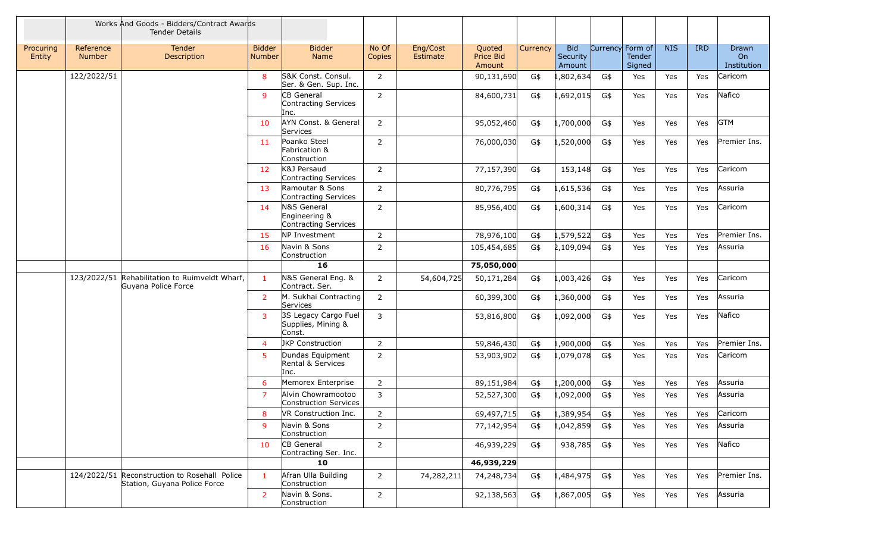|                     |                            | Works And Goods - Bidders/Contract Awards<br><b>Tender Details</b> |                                |                                                             |                 |                             |                               |          |                                  |        |                                      |            |            |                                        |
|---------------------|----------------------------|--------------------------------------------------------------------|--------------------------------|-------------------------------------------------------------|-----------------|-----------------------------|-------------------------------|----------|----------------------------------|--------|--------------------------------------|------------|------------|----------------------------------------|
| Procuring<br>Entity | Reference<br><b>Number</b> | <b>Tender</b><br>Description                                       | <b>Bidder</b><br><b>Number</b> | <b>Bidder</b><br><b>Name</b>                                | No Of<br>Copies | Eng/Cost<br><b>Estimate</b> | Quoted<br>Price Bid<br>Amount | Currency | <b>Bid</b><br>Security<br>Amount |        | Currency Form of<br>Tender<br>Signed | <b>NIS</b> | <b>IRD</b> | Drawn<br>O <sub>n</sub><br>Institution |
|                     | 122/2022/51                |                                                                    | 8                              | S&K Const. Consul.<br>Ser. & Gen. Sup. Inc.                 | 2               |                             | 90,131,690                    | G\$      | ,802,634                         | G\$    | Yes                                  | Yes        | Yes        | Caricom                                |
|                     |                            |                                                                    | $\mathsf{q}$                   | CB General<br>Contracting Services<br>Inc.                  | $\overline{2}$  |                             | 84,600,731                    | G\$      | 1,692,015                        | G\$    | Yes                                  | Yes        | Yes        | Nafico                                 |
|                     |                            |                                                                    | 10                             | AYN Const. & General<br>Services                            | 2               |                             | 95,052,460                    | G\$      | ,700,000                         | G\$    | Yes                                  | Yes        | Yes        | <b>GTM</b>                             |
|                     |                            |                                                                    | 11                             | Poanko Steel<br>Fabrication &<br>Construction               | $\overline{2}$  |                             | 76,000,030                    | G\$      | ,520,000                         | G\$    | Yes                                  | Yes        | Yes        | Premier Ins.                           |
|                     |                            |                                                                    | 12                             | K&J Persaud<br>Contracting Services                         | $\overline{2}$  |                             | 77,157,390                    | G\$      | 153,148                          | G\$    | Yes                                  | Yes        | Yes        | Caricom                                |
|                     |                            |                                                                    | 13                             | Ramoutar & Sons<br><b>Contracting Services</b>              | $\overline{2}$  |                             | 80,776,795                    | G\$      | 1,615,536                        | G\$    | Yes                                  | Yes        | Yes        | Assuria                                |
|                     |                            |                                                                    | 14                             | N&S General<br>Engineering &<br><b>Contracting Services</b> | $\overline{2}$  |                             | 85,956,400                    | G\$      | .600,314                         | G\$    | Yes                                  | Yes        | Yes        | Caricom                                |
|                     |                            |                                                                    | 15                             | NP Investment                                               | $\overline{2}$  |                             | 78,976,100                    | G\$      | 1,579,522                        | G\$    | Yes                                  | Yes        | Yes        | Premier Ins.                           |
|                     |                            |                                                                    | <b>16</b>                      | Navin & Sons<br>Construction                                | $\overline{2}$  |                             | 105,454,685                   | G\$      | 2,109,094                        | G\$    | Yes                                  | Yes        | Yes        | Assuria                                |
|                     |                            |                                                                    |                                | 16                                                          |                 |                             | 75,050,000                    |          |                                  |        |                                      |            |            |                                        |
|                     | 123/2022/51                | Rehabilitation to Ruimveldt Wharf,<br>Guyana Police Force          | $\mathbf{1}$                   | N&S General Eng. &<br>Contract. Ser.                        | $\overline{2}$  | 54,604,725                  | 50,171,284                    | G\$      | 1,003,426                        | G\$    | Yes                                  | Yes        | Yes        | Caricom                                |
|                     |                            |                                                                    | $\overline{2}$                 | M. Sukhai Contracting<br>Services                           | $\overline{2}$  |                             | 60,399,300                    | G\$      | ,360,000                         | G\$    | Yes                                  | Yes        | Yes        | Assuria                                |
|                     |                            |                                                                    | 3                              | 3S Legacy Cargo Fuel<br>Supplies, Mining &<br>Const.        | 3               |                             | 53,816,800                    | G\$      | 1,092,000                        | G\$    | Yes                                  | Yes        | Yes        | Nafico                                 |
|                     |                            |                                                                    | 4                              | <b>JKP Construction</b>                                     | 2               |                             | 59,846,430                    | G\$      | .,900,000                        | G\$    | Yes                                  | <b>Yes</b> | Yes        | Premier Ins.                           |
|                     |                            |                                                                    | 5                              | Dundas Equipment<br>Rental & Services<br>Inc.               | $\overline{2}$  |                             | 53,903,902                    | G\$      | 1,079,078                        | G\$    | Yes                                  | Yes        | Yes        | Caricom                                |
|                     |                            |                                                                    | 6                              | Memorex Enterprise                                          | $\overline{2}$  |                             | 89,151,984                    | G\$      | ,200,000                         | G\$    | Yes                                  | <b>Yes</b> | Yes        | Assuria                                |
|                     |                            |                                                                    |                                | Alvin Chowramootoo<br><b>Construction Services</b>          | $\mathbf{3}$    |                             | 52,527,300                    | G\$      | 1,092,000                        | G\$    | Yes                                  | <b>Yes</b> | Yes        | Assuria                                |
|                     |                            |                                                                    | 8                              | VR Construction Inc.                                        | $\overline{2}$  |                             | 69,497,715                    | G\$      | 1,389,954                        | $G$ \$ | Yes                                  | Yes        | Yes        | Caricom                                |
|                     |                            |                                                                    | 9                              | Navin & Sons<br>Construction                                | $\overline{2}$  |                             | 77,142,954                    | G\$      | 1,042,859                        | G\$    | Yes                                  | Yes        | Yes        | Assuria                                |
|                     |                            |                                                                    | 10                             | CB General<br>Contracting Ser. Inc.                         | $\overline{2}$  |                             | 46,939,229                    | G\$      | 938,785                          | G\$    | Yes                                  | Yes        | Yes        | Nafico                                 |
|                     |                            |                                                                    |                                | 10                                                          |                 |                             | 46,939,229                    |          |                                  |        |                                      |            |            |                                        |
|                     | 124/2022/51                | Reconstruction to Rosehall Police<br>Station, Guyana Police Force  | $\mathbf{1}$                   | Afran Ulla Building<br>Construction                         | $\overline{2}$  | 74,282,211                  | 74,248,734                    | G\$      | L,484,975                        | G\$    | Yes                                  | Yes        | Yes        | Premier Ins.                           |
|                     |                            |                                                                    | $\overline{2}$                 | Navin & Sons.<br>Construction                               | $\overline{2}$  |                             | 92,138,563                    | G\$      | 1,867,005                        | G\$    | Yes                                  | Yes        | Yes        | Assuria                                |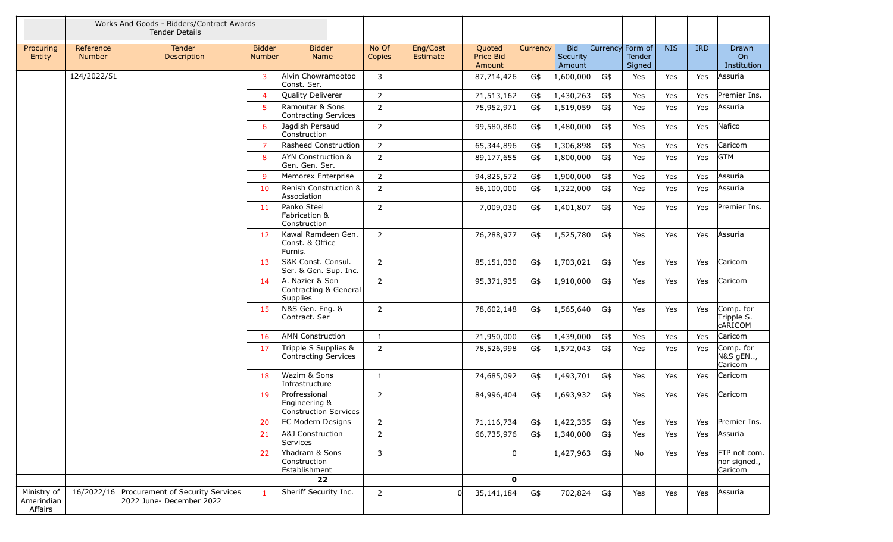|                                      |                            | Works And Goods - Bidders/Contract Awards<br><b>Tender Details</b> |                         |                                                             |                 |                      |                               |          |                                  |     |                                      |            |            |                                           |
|--------------------------------------|----------------------------|--------------------------------------------------------------------|-------------------------|-------------------------------------------------------------|-----------------|----------------------|-------------------------------|----------|----------------------------------|-----|--------------------------------------|------------|------------|-------------------------------------------|
| Procuring<br>Entity                  | Reference<br><b>Number</b> | <b>Tender</b><br>Description                                       | <b>Bidder</b><br>Number | <b>Bidder</b><br>Name                                       | No Of<br>Copies | Eng/Cost<br>Estimate | Quoted<br>Price Bid<br>Amount | Currency | <b>Bid</b><br>Security<br>Amount |     | Currency Form of<br>Tender<br>Signed | <b>NIS</b> | <b>IRD</b> | Drawn<br>On<br>Institution                |
|                                      | 124/2022/51                |                                                                    | 3                       | Alvin Chowramootoo<br>Const. Ser.                           | 3               |                      | 87,714,426                    | G\$      | ,600,000                         | G\$ | Yes                                  | Yes        | Yes        | Assuria                                   |
|                                      |                            |                                                                    | $\overline{4}$          | Quality Deliverer                                           | $\overline{2}$  |                      | 71,513,162                    | G\$      | .,430,263                        | G\$ | Yes                                  | Yes        | Yes        | Premier Ins.                              |
|                                      |                            |                                                                    | 5                       | Ramoutar & Sons<br>Contracting Services                     | $\overline{2}$  |                      | 75,952,971                    | G\$      | 1,519,059                        | G\$ | Yes                                  | Yes        | Yes        | Assuria                                   |
|                                      |                            |                                                                    | 6                       | Jagdish Persaud<br>Construction                             | $\overline{2}$  |                      | 99,580,860                    | G\$      | ,480,000                         | G\$ | Yes                                  | Yes        | Yes        | Nafico                                    |
|                                      |                            |                                                                    | 7                       | Rasheed Construction                                        | $\overline{2}$  |                      | 65,344,896                    | G\$      | ,306,898                         | G\$ | Yes                                  | Yes        | Yes        | Caricom                                   |
|                                      |                            |                                                                    | 8                       | AYN Construction &<br>Gen. Gen. Ser.                        | $\overline{2}$  |                      | 89,177,655                    | G\$      | ,800,000                         | G\$ | Yes                                  | Yes        | Yes        | <b>GTM</b>                                |
|                                      |                            |                                                                    | 9                       | Memorex Enterprise                                          | $\overline{2}$  |                      | 94,825,572                    | G\$      | .,900,000                        | G\$ | Yes                                  | Yes        | Yes        | Assuria                                   |
|                                      |                            |                                                                    | 10                      | Renish Construction &<br>Association                        | $\overline{2}$  |                      | 66,100,000                    | G\$      | 1,322,000                        | G\$ | Yes                                  | Yes        | Yes        | Assuria                                   |
|                                      |                            |                                                                    | 11                      | Panko Steel<br>Fabrication &<br>Construction                | $\overline{2}$  |                      | 7,009,030                     | G\$      | ,401,807                         | G\$ | Yes                                  | Yes        | Yes        | Premier Ins.                              |
|                                      |                            |                                                                    | 12                      | Kawal Ramdeen Gen.<br>Const. & Office<br>Furnis.            | $\overline{2}$  |                      | 76,288,977                    | G\$      | 1,525,780                        | G\$ | Yes                                  | Yes        | Yes        | Assuria                                   |
|                                      |                            |                                                                    | 13                      | S&K Const. Consul.<br>Ser. & Gen. Sup. Inc.                 | 2               |                      | 85,151,030                    | G\$      | 1,703,021                        | G\$ | Yes                                  | Yes        | Yes        | Caricom                                   |
|                                      |                            |                                                                    | 14                      | A. Nazier & Son<br>Contracting & General<br><b>Supplies</b> | $\overline{2}$  |                      | 95,371,935                    | G\$      | 1,910,000                        | G\$ | Yes                                  | Yes        | Yes        | Caricom                                   |
|                                      |                            |                                                                    | 15                      | N&S Gen. Eng. &<br>Contract. Ser                            | $\overline{2}$  |                      | 78,602,148                    | G\$      | 1,565,640                        | G\$ | Yes                                  | Yes        | Yes        | Comp. for<br>Tripple S.<br><b>CARICOM</b> |
|                                      |                            |                                                                    | 16                      | <b>AMN Construction</b>                                     | $\mathbf{1}$    |                      | 71,950,000                    | G\$      | ,439,000                         | G\$ | Yes                                  | <b>Yes</b> | Yes        | Caricom                                   |
|                                      |                            |                                                                    | 17                      | Tripple S Supplies &<br>Contracting Services                | $\overline{2}$  |                      | 78,526,998                    | G\$      | 1,572,043                        | G\$ | Yes                                  | Yes        | Yes        | Comp. for<br>N&S gEN,<br>Caricom          |
|                                      |                            |                                                                    | 18                      | Wazim & Sons<br>Infrastructure                              | $\mathbf{1}$    |                      | 74,685,092                    | G\$      | L,493,701                        | G\$ | Yes                                  | Yes        | Yes        | Caricom                                   |
|                                      |                            |                                                                    | 19                      | Profressional<br>Engineering &<br>Construction Services     | $\overline{2}$  |                      | 84,996,404                    | G\$      | 1,693,932                        | G\$ | Yes                                  | Yes        | Yes        | Caricom                                   |
|                                      |                            |                                                                    | 20                      | <b>EC Modern Designs</b>                                    | $\overline{2}$  |                      | 71,116,734                    | G\$      | ,422,335                         | G\$ | Yes                                  | Yes        | Yes        | Premier Ins.                              |
|                                      |                            |                                                                    | 21                      | A&J Construction<br>Services                                | $\overline{2}$  |                      | 66,735,976                    | G\$      | 1,340,000                        | G\$ | Yes                                  | Yes        | Yes        | Assuria                                   |
|                                      |                            |                                                                    | 22                      | Yhadram & Sons<br>Construction<br>Establishment<br>22       | $\mathbf{3}$    |                      | $\mathbf{o}$                  |          | L,427,963                        | G\$ | No                                   | Yes        | Yes        | FTP not com.<br>nor signed.,<br>Caricom   |
|                                      |                            |                                                                    |                         |                                                             |                 |                      |                               |          |                                  |     |                                      |            |            |                                           |
| Ministry of<br>Amerindian<br>Affairs | 16/2022/16                 | Procurement of Security Services<br>2022 June- December 2022       | $\mathbf{1}$            | Sheriff Security Inc.                                       | $\overline{2}$  | $\Omega$             | 35, 141, 184                  | G\$      | 702,824                          | G\$ | Yes                                  | Yes        | Yes        | Assuria                                   |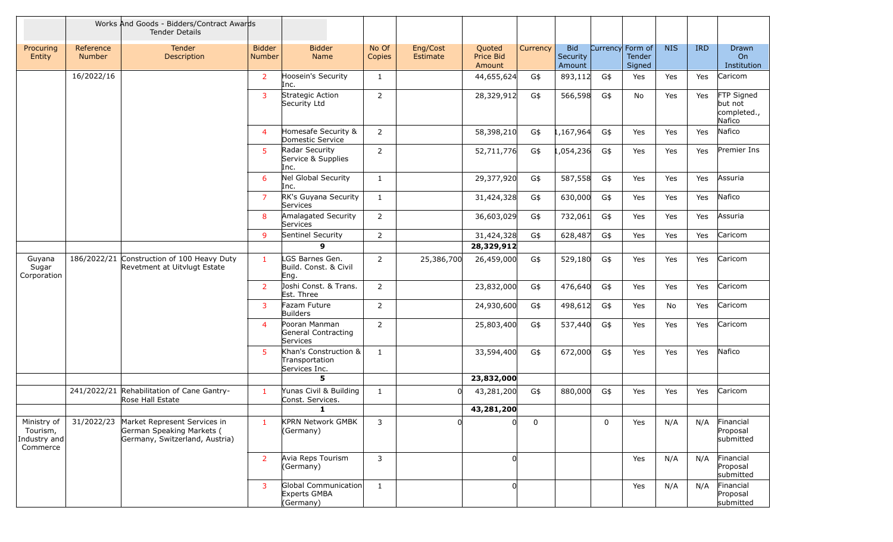|                                                     |                                                                | Works And Goods - Bidders/Contract Awards<br><b>Tender Details</b>                          |                                                  |                                                          |                 |                      |                               |          |                                  |             |                                      |            |            |                                                |
|-----------------------------------------------------|----------------------------------------------------------------|---------------------------------------------------------------------------------------------|--------------------------------------------------|----------------------------------------------------------|-----------------|----------------------|-------------------------------|----------|----------------------------------|-------------|--------------------------------------|------------|------------|------------------------------------------------|
| Procuring<br>Entity                                 | Reference<br><b>Number</b>                                     | Tender<br>Description                                                                       | <b>Bidder</b><br>Number                          | <b>Bidder</b><br>Name                                    | No Of<br>Copies | Eng/Cost<br>Estimate | Quoted<br>Price Bid<br>Amount | Currency | <b>Bid</b><br>Security<br>Amount |             | Currency Form of<br>Tender<br>Signed | <b>NIS</b> | <b>IRD</b> | Drawn<br><b>On</b><br>Institution              |
|                                                     | 16/2022/16                                                     |                                                                                             | $\overline{2}$                                   | Hoosein's Security<br>Inc.                               | $\mathbf{1}$    |                      | 44,655,624                    | G\$      | 893,112                          | G\$         | Yes                                  | Yes        | Yes        | Caricom                                        |
|                                                     |                                                                |                                                                                             | $\overline{3}$                                   | Strategic Action<br>Security Ltd                         | $\overline{2}$  |                      | 28,329,912                    | G\$      | 566,598                          | G\$         | No                                   | Yes        | Yes        | FTP Signed<br>but not<br>completed.,<br>Nafico |
|                                                     |                                                                |                                                                                             | $\overline{4}$                                   | Homesafe Security &<br>Domestic Service                  | 2               |                      | 58,398,210                    | G\$      | ,167,964                         | G\$         | Yes                                  | Yes        | Yes        | Nafico                                         |
|                                                     |                                                                |                                                                                             | 5                                                | Radar Security<br>Service & Supplies<br>Inc.             | $\overline{2}$  |                      | 52,711,776                    | G\$      | .054,236                         | G\$         | Yes                                  | Yes        | Yes        | Premier Ins                                    |
|                                                     |                                                                |                                                                                             | 6                                                | Nel Global Security<br>Inc.                              | 1               |                      | 29,377,920                    | G\$      | 587,558                          | G\$         | Yes                                  | Yes        | Yes        | Assuria                                        |
|                                                     |                                                                |                                                                                             | $\overline{7}$                                   | RK's Guyana Security<br>Services                         | $\mathbf{1}$    |                      | 31,424,328                    | G\$      | 630,000                          | G\$         | Yes                                  | Yes        | Yes        | Nafico                                         |
|                                                     |                                                                |                                                                                             | 8                                                | Amalagated Security<br>Services                          | $\overline{2}$  |                      | 36,603,029                    | G\$      | 732,061                          | G\$         | Yes                                  | Yes        | Yes        | Assuria                                        |
|                                                     |                                                                |                                                                                             | 9                                                | Sentinel Security                                        | $\overline{2}$  |                      | 31,424,328                    | G\$      | 628,487                          | G\$         | Yes                                  | Yes        | Yes        | Caricom                                        |
|                                                     |                                                                |                                                                                             | 9                                                |                                                          |                 | 28,329,912           |                               |          |                                  |             |                                      |            |            |                                                |
| Guyana<br>186/2022/21<br>Sugar<br>Corporation       | Construction of 100 Heavy Duty<br>Revetment at Uitvlugt Estate | $\mathbf{1}$                                                                                | LGS Barnes Gen.<br>Build. Const. & Civil<br>Eng. | $\overline{2}$                                           | 25,386,700      | 26,459,000           | G\$                           | 529,180  | G\$                              | Yes         | Yes                                  | Yes        | Caricom    |                                                |
|                                                     |                                                                |                                                                                             | $\overline{2}$                                   | Joshi Const. & Trans.<br>Est. Three                      | $\overline{2}$  |                      | 23,832,000                    | G\$      | 476,640                          | G\$         | Yes                                  | Yes        | Yes        | Caricom                                        |
|                                                     |                                                                |                                                                                             | 3                                                | Fazam Future<br><b>Builders</b>                          | $\overline{2}$  |                      | 24,930,600                    | G\$      | 498,612                          | G\$         | Yes                                  | No         | Yes        | Caricom                                        |
|                                                     |                                                                |                                                                                             | $\overline{4}$                                   | Pooran Manman<br>General Contracting<br>Services         | $\overline{2}$  |                      | 25,803,400                    | G\$      | 537,440                          | G\$         | Yes                                  | Yes        | Yes        | Caricom                                        |
|                                                     |                                                                |                                                                                             | -5                                               | Khan's Construction &<br>Transportation<br>Services Inc. | 1               |                      | 33,594,400                    | G\$      | 672,000                          | G\$         | Yes                                  | Yes        | Yes        | Nafico                                         |
|                                                     |                                                                |                                                                                             |                                                  | 5                                                        |                 |                      | 23,832,000                    |          |                                  |             |                                      |            |            |                                                |
|                                                     |                                                                | 241/2022/21 Rehabilitation of Cane Gantry-<br>Rose Hall Estate                              | -1                                               | Yunas Civil & Building<br>Const. Services.               | 1               | $\Omega$             | 43,281,200                    | G\$      | 880,000                          | G\$         | Yes                                  | Yes        | Yes        | Caricom                                        |
|                                                     |                                                                |                                                                                             |                                                  | $\mathbf{1}$                                             |                 |                      | 43,281,200                    |          |                                  |             |                                      |            |            |                                                |
| Ministry of<br>Tourism,<br>Industry and<br>Commerce | 31/2022/23                                                     | Market Represent Services in<br>German Speaking Markets (<br>Germany, Switzerland, Austria) | $\mathbf{1}$                                     | <b>KPRN Network GMBK</b><br>(Germany)                    | 3               |                      |                               | 0        |                                  | $\mathbf 0$ | Yes                                  | N/A        | N/A        | Financial<br>Proposal<br>submitted             |
|                                                     |                                                                |                                                                                             | $\overline{2}$                                   | Avia Reps Tourism<br>(Germany)                           | 3               |                      |                               |          |                                  |             | Yes                                  | N/A        | N/A        | Financial<br>Proposal<br>submitted             |
|                                                     |                                                                |                                                                                             | 3                                                | Global Communication<br>Experts GMBA<br>(Germany)        | $\mathbf{1}$    |                      | O                             |          |                                  |             | Yes                                  | N/A        | N/A        | Financial<br>Proposal<br>submitted             |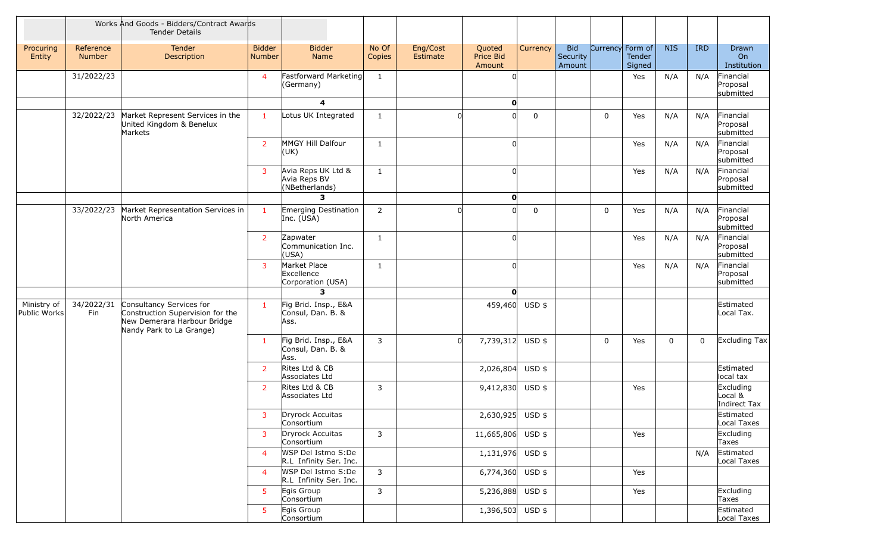|                             |                     | Works And Goods - Bidders/Contract Awards<br><b>Tender Details</b>                                                      |                         |                                                      |                 |                      |                               |             |                                  |                                      |             |              |                                        |
|-----------------------------|---------------------|-------------------------------------------------------------------------------------------------------------------------|-------------------------|------------------------------------------------------|-----------------|----------------------|-------------------------------|-------------|----------------------------------|--------------------------------------|-------------|--------------|----------------------------------------|
| Procuring<br>Entity         | Reference<br>Number | Tender<br>Description                                                                                                   | <b>Bidder</b><br>Number | <b>Bidder</b><br>Name                                | No Of<br>Copies | Eng/Cost<br>Estimate | Quoted<br>Price Bid<br>Amount | Currency    | <b>Bid</b><br>Security<br>Amount | Currency Form of<br>Tender<br>Signed | <b>NIS</b>  | <b>IRD</b>   | Drawn<br>O <sub>n</sub><br>Institution |
|                             | 31/2022/23          |                                                                                                                         | $\overline{4}$          | Fastforward Marketing<br>(Germany)                   | $\mathbf{1}$    |                      |                               |             |                                  | Yes                                  | N/A         | N/A          | Financial<br>Proposal<br>submitted     |
|                             |                     |                                                                                                                         |                         | $\overline{\mathbf{4}}$                              |                 |                      | $\mathbf{0}$                  |             |                                  |                                      |             |              |                                        |
|                             | 32/2022/23          | Market Represent Services in the<br>United Kingdom & Benelux<br>Markets                                                 | $\mathbf{1}$            | Lotus UK Integrated                                  | $\mathbf{1}$    |                      |                               | $\mathbf 0$ | $\Omega$                         | Yes                                  | N/A         | N/A          | Financial<br>Proposal<br>submitted     |
|                             |                     |                                                                                                                         | $\overline{2}$          | MMGY Hill Dalfour<br>(UK)                            | $\mathbf{1}$    |                      | U                             |             |                                  | Yes                                  | N/A         | N/A          | Financial<br>Proposal<br>submitted     |
|                             |                     |                                                                                                                         | $\overline{3}$          | Avia Reps UK Ltd &<br>Avia Reps BV<br>(NBetherlands) | $\mathbf{1}$    |                      |                               |             |                                  | Yes                                  | N/A         | N/A          | Financial<br>Proposal<br>submitted     |
|                             |                     |                                                                                                                         |                         | $\overline{\mathbf{3}}$                              |                 |                      | O                             |             |                                  |                                      |             |              |                                        |
|                             | 33/2022/23          | Market Representation Services in<br>North America                                                                      | $\mathbf{1}$            | Emerging Destination<br>Inc. (USA)                   | $\overline{2}$  |                      |                               | $\mathbf 0$ | $\Omega$                         | Yes                                  | N/A         | N/A          | Financial<br>Proposal<br>submitted     |
|                             |                     |                                                                                                                         | <sup>2</sup>            | Zapwater<br>Communication Inc.<br>(USA)              | $\mathbf{1}$    |                      | O                             |             |                                  | Yes                                  | N/A         | N/A          | Financial<br>Proposal<br>submitted     |
|                             |                     |                                                                                                                         | $\overline{3}$          | Market Place<br>Excellence<br>Corporation (USA)      | $\mathbf{1}$    |                      |                               |             |                                  | Yes                                  | N/A         | N/A          | Financial<br>Proposal<br>submitted     |
|                             |                     |                                                                                                                         |                         | 3                                                    |                 |                      | O                             |             |                                  |                                      |             |              |                                        |
| Ministry of<br>Public Works | 34/2022/31<br>Fin   | Consultancy Services for<br>Construction Supervision for the<br>New Demerara Harbour Bridge<br>Nandy Park to La Grange) | $\mathbf{1}$            | Fig Brid. Insp., E&A<br>Consul, Dan. B. &<br>Ass.    |                 |                      | 459,460                       | $USD$ \$    |                                  |                                      |             |              | Estimated<br>Local Tax.                |
|                             |                     |                                                                                                                         | -1                      | Fig Brid. Insp., E&A<br>Consul, Dan. B. &<br>Ass.    | 3               | <sup>n</sup>         | 7,739,312 USD \$              |             | $\mathbf 0$                      | Yes                                  | $\mathbf 0$ | $\mathbf{0}$ | $\vert$ Excluding Tax $\vert$          |
|                             |                     |                                                                                                                         | 2                       | Rites Ltd & CB<br>Associates Ltd                     |                 |                      | 2,026,804                     | USD \$      |                                  |                                      |             |              | Estimated<br>local tax                 |
|                             |                     |                                                                                                                         | $\overline{2}$          | Rites Ltd & CB<br>Associates Ltd                     | 3               |                      | 9,412,830                     | USD \$      |                                  | Yes                                  |             |              | Excluding<br>Local &<br>Indirect Tax   |
|                             |                     |                                                                                                                         |                         | 3 Dryrock Accuitas<br>Consortium                     |                 |                      | 2,630,925 USD \$              |             |                                  |                                      |             |              | Estimated<br>Local Taxes               |
|                             |                     |                                                                                                                         | $\overline{3}$          | Dryrock Accuitas<br>Consortium                       | 3               |                      | 11,665,806 USD \$             |             |                                  | Yes                                  |             |              | Excluding<br>Taxes                     |
|                             |                     |                                                                                                                         | $\overline{4}$          | WSP Del Istmo S:De<br>R.L Infinity Ser. Inc.         |                 |                      | $1,131,976$ USD \$            |             |                                  |                                      |             | N/A          | Estimated<br>Local Taxes               |
|                             |                     |                                                                                                                         | $\overline{4}$          | WSP Del Istmo S:De<br>R.L Infinity Ser. Inc.         | 3               |                      | 6,774,360 USD \$              |             |                                  | Yes                                  |             |              |                                        |
|                             |                     |                                                                                                                         | 5 <sup>5</sup>          | Egis Group<br>Consortium                             | $\mathsf{3}$    |                      | 5,236,888 USD \$              |             |                                  | Yes                                  |             |              | Excluding<br>Taxes                     |
|                             |                     |                                                                                                                         | 5 <sup>1</sup>          | Egis Group<br>Consortium                             |                 |                      | $1,396,503$ USD \$            |             |                                  |                                      |             |              | Estimated<br>Local Taxes               |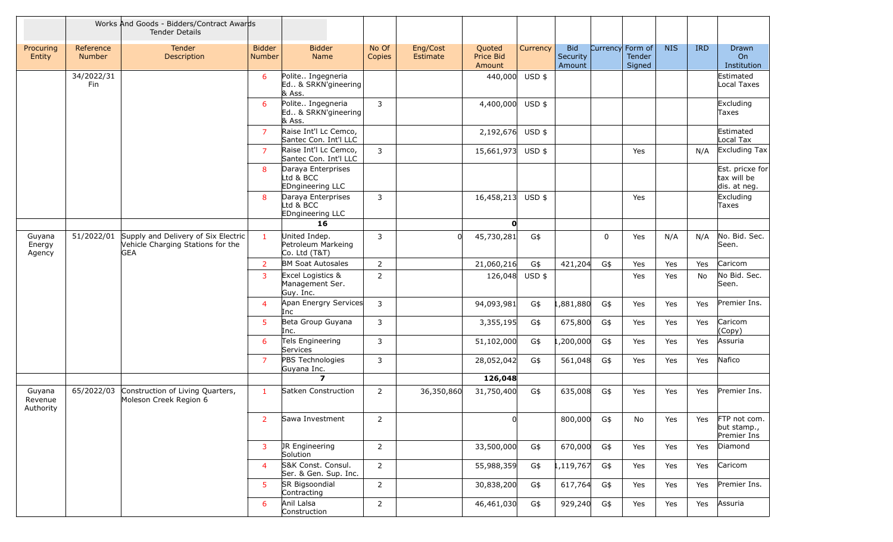|                                |                     | Works And Goods - Bidders/Contract Awards<br><b>Tender Details</b>                     |                         |                                                      |                 |                      |                               |          |                                  |             |                                      |            |            |                                                |
|--------------------------------|---------------------|----------------------------------------------------------------------------------------|-------------------------|------------------------------------------------------|-----------------|----------------------|-------------------------------|----------|----------------------------------|-------------|--------------------------------------|------------|------------|------------------------------------------------|
| Procuring<br>Entity            | Reference<br>Number | <b>Tender</b><br>Description                                                           | <b>Bidder</b><br>Number | <b>Bidder</b><br>Name                                | No Of<br>Copies | Eng/Cost<br>Estimate | Quoted<br>Price Bid<br>Amount | Currency | <b>Bid</b><br>Security<br>Amount |             | Currency Form of<br>Tender<br>Signed | <b>NIS</b> | <b>IRD</b> | Drawn<br>O <sub>n</sub><br>Institution         |
|                                | 34/2022/31<br>Fin   |                                                                                        | 6                       | Polite Ingegneria<br>Ed & SRKN'gineering<br>& Ass.   |                 |                      | 440,000                       | USD \$   |                                  |             |                                      |            |            | Estimated<br>Local Taxes                       |
|                                |                     |                                                                                        | 6                       | Polite Ingegneria<br>Ed & SRKN'gineering<br>& Ass.   | $\mathbf{3}$    |                      | 4,400,000                     | $USD$ \$ |                                  |             |                                      |            |            | Excluding<br>Taxes                             |
|                                |                     |                                                                                        | $\overline{7}$          | Raise Int'l Lc Cemco,<br>Santec Con. Int'l LLC       |                 |                      | 2,192,676                     | $USD$ \$ |                                  |             |                                      |            |            | Estimated<br>Local Tax                         |
|                                |                     |                                                                                        | $\overline{7}$          | Raise Int'l Lc Cemco,<br>Santec Con. Int'l LLC       | 3               |                      | 15,661,973                    | USD \$   |                                  |             | Yes                                  |            | N/A        | Excluding Tax                                  |
|                                |                     |                                                                                        | 8                       | Daraya Enterprises<br>Ltd & BCC<br>EDngineering LLC  |                 |                      |                               |          |                                  |             |                                      |            |            | Est. pricxe for<br>tax will be<br>dis. at neg. |
|                                |                     |                                                                                        | 8                       | Daraya Enterprises<br>Ltd & BCC<br>EDngineering LLC  | $\mathbf{3}$    |                      | 16,458,213                    | $USD$ \$ |                                  |             | Yes                                  |            |            | Excluding<br>Taxes                             |
|                                |                     |                                                                                        |                         | 16                                                   |                 |                      | O                             |          |                                  |             |                                      |            |            |                                                |
| Guyana<br>Energy<br>Agency     | 51/2022/01          | Supply and Delivery of Six Electric<br>Vehicle Charging Stations for the<br><b>GEA</b> | $\mathbf{1}$            | United Indep.<br>Petroleum Markeing<br>Co. Ltd (T&T) | $\mathbf{3}$    |                      | 45,730,281                    | G\$      |                                  | $\mathbf 0$ | Yes                                  | N/A        | N/A        | No. Bid. Sec.<br>Seen.                         |
|                                |                     |                                                                                        | $\overline{2}$          | <b>BM Soat Autosales</b>                             | $\overline{2}$  |                      | 21,060,216                    | G\$      | 421,204                          | G\$         | Yes                                  | Yes        | Yes        | Caricom                                        |
|                                |                     |                                                                                        | $\overline{3}$          | Excel Logistics &<br>Management Ser.<br>Guy. Inc.    | $\overline{2}$  |                      | 126,048                       | $USD$ \$ |                                  |             | Yes                                  | Yes        | No         | No Bid. Sec.<br>Seen.                          |
|                                |                     |                                                                                        | $\overline{4}$          | Apan Energry Services<br>Inc.                        | $\mathsf{3}$    |                      | 94,093,981                    | G\$      | 1,881,880                        | G\$         | Yes                                  | Yes        | Yes        | Premier Ins.                                   |
|                                |                     |                                                                                        | 5                       | Beta Group Guyana<br>Inc.                            | 3               |                      | 3,355,195                     | G\$      | 675,800                          | G\$         | Yes                                  | Yes        | Yes        | Caricom<br>(Copy)                              |
|                                |                     |                                                                                        | 6                       | Tels Engineering<br>Services                         | 3               |                      | 51,102,000                    | G\$      | 1,200,000                        | G\$         | Yes                                  | Yes        | Yes        | Assuria                                        |
|                                |                     |                                                                                        | $\overline{7}$          | PBS Technologies<br>Guyana Inc.                      | $\mathsf{3}$    |                      | 28,052,042                    | G\$      | 561,048                          | G\$         | Yes                                  | Yes        | Yes        | Nafico                                         |
|                                |                     |                                                                                        |                         | $\overline{\mathbf{z}}$                              |                 |                      | 126,048                       |          |                                  |             |                                      |            |            |                                                |
| Guyana<br>Revenue<br>Authority | 65/2022/03          | Construction of Living Quarters,<br>Moleson Creek Region 6                             | $\mathbf{1}$            | Satken Construction                                  | $\overline{2}$  | 36,350,860           | 31,750,400                    | G\$      | 635,008                          | G\$         | Yes                                  | Yes        | Yes        | Premier Ins.                                   |
|                                |                     |                                                                                        | $\overline{2}$          | Sawa Investment                                      | $\overline{2}$  |                      | <sub>0</sub>                  |          | 800,000 G\$                      |             | No                                   | Yes        | Yes        | FTP not com.<br>but stamp.,<br>Premier Ins     |
|                                |                     |                                                                                        | $\mathbf{3}$            | JR Engineering<br>Solution                           | $\overline{2}$  |                      | 33,500,000                    | G\$      | 670,000                          | G\$         | Yes                                  | Yes        | Yes        | Diamond                                        |
|                                |                     |                                                                                        | $\overline{4}$          | S&K Const. Consul.<br>Ser. & Gen. Sup. Inc.          | $\overline{2}$  |                      | 55,988,359                    | G\$      | 1,119,767                        | G\$         | Yes                                  | Yes        | Yes        | Caricom                                        |
|                                |                     |                                                                                        | 5 <sup>5</sup>          | SR Bigsoondial<br>Contracting                        | $\overline{2}$  |                      | 30,838,200                    | G\$      | 617,764                          | G\$         | Yes                                  | Yes        | Yes        | Premier Ins.                                   |
|                                |                     |                                                                                        | 6                       | Anil Lalsa<br>Construction                           | $\overline{2}$  |                      | 46,461,030                    | G\$      | 929,240                          | G\$         | Yes                                  | Yes        | Yes        | Assuria                                        |